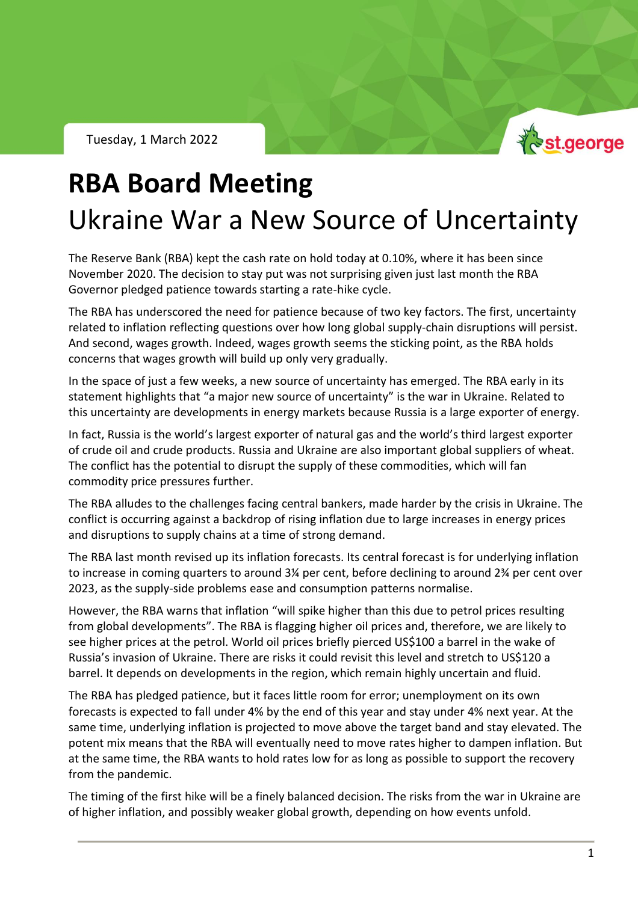Tuesday, 1 March 2022



# **RBA Board Meeting** Ukraine War a New Source of Uncertainty

The Reserve Bank (RBA) kept the cash rate on hold today at 0.10%, where it has been since November 2020. The decision to stay put was not surprising given just last month the RBA Governor pledged patience towards starting a rate-hike cycle.

The RBA has underscored the need for patience because of two key factors. The first, uncertainty related to inflation reflecting questions over how long global supply-chain disruptions will persist. And second, wages growth. Indeed, wages growth seems the sticking point, as the RBA holds concerns that wages growth will build up only very gradually.

In the space of just a few weeks, a new source of uncertainty has emerged. The RBA early in its statement highlights that "a major new source of uncertainty" is the war in Ukraine. Related to this uncertainty are developments in energy markets because Russia is a large exporter of energy.

In fact, Russia is the world's largest exporter of natural gas and the world's third largest exporter of crude oil and crude products. Russia and Ukraine are also important global suppliers of wheat. The conflict has the potential to disrupt the supply of these commodities, which will fan commodity price pressures further.

The RBA alludes to the challenges facing central bankers, made harder by the crisis in Ukraine. The conflict is occurring against a backdrop of rising inflation due to large increases in energy prices and disruptions to supply chains at a time of strong demand.

The RBA last month revised up its inflation forecasts. Its central forecast is for underlying inflation to increase in coming quarters to around 3¼ per cent, before declining to around 2¾ per cent over 2023, as the supply-side problems ease and consumption patterns normalise.

However, the RBA warns that inflation "will spike higher than this due to petrol prices resulting from global developments". The RBA is flagging higher oil prices and, therefore, we are likely to see higher prices at the petrol. World oil prices briefly pierced US\$100 a barrel in the wake of Russia's invasion of Ukraine. There are risks it could revisit this level and stretch to US\$120 a barrel. It depends on developments in the region, which remain highly uncertain and fluid.

The RBA has pledged patience, but it faces little room for error; unemployment on its own forecasts is expected to fall under 4% by the end of this year and stay under 4% next year. At the same time, underlying inflation is projected to move above the target band and stay elevated. The potent mix means that the RBA will eventually need to move rates higher to dampen inflation. But at the same time, the RBA wants to hold rates low for as long as possible to support the recovery from the pandemic.

The timing of the first hike will be a finely balanced decision. The risks from the war in Ukraine are of higher inflation, and possibly weaker global growth, depending on how events unfold.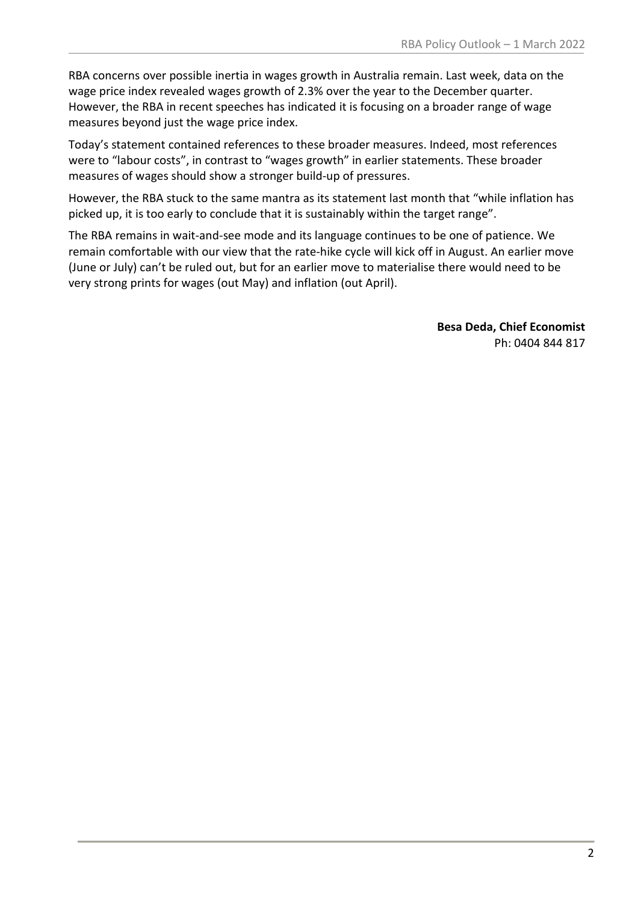RBA concerns over possible inertia in wages growth in Australia remain. Last week, data on the wage price index revealed wages growth of 2.3% over the year to the December quarter. However, the RBA in recent speeches has indicated it is focusing on a broader range of wage measures beyond just the wage price index.

Today's statement contained references to these broader measures. Indeed, most references were to "labour costs", in contrast to "wages growth" in earlier statements. These broader measures of wages should show a stronger build-up of pressures.

However, the RBA stuck to the same mantra as its statement last month that "while inflation has picked up, it is too early to conclude that it is sustainably within the target range".

The RBA remains in wait-and-see mode and its language continues to be one of patience. We remain comfortable with our view that the rate-hike cycle will kick off in August. An earlier move (June or July) can't be ruled out, but for an earlier move to materialise there would need to be very strong prints for wages (out May) and inflation (out April).

> **Besa Deda, Chief Economist** Ph: 0404 844 817